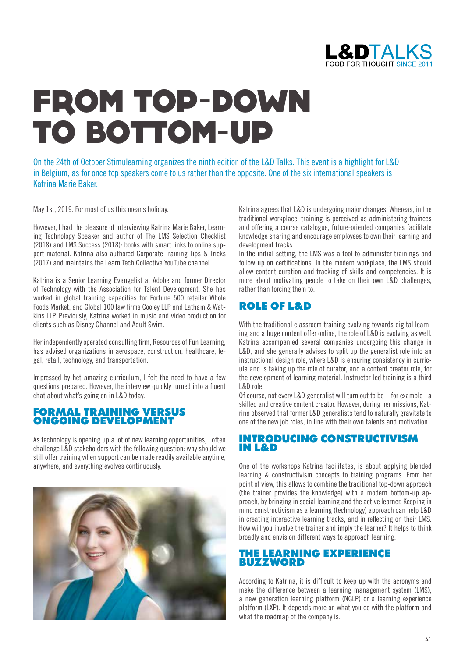

# FROM TOP-DOWN TO BOTTOM-UP

On the 24th of October Stimulearning organizes the ninth edition of the L&D Talks. This event is a highlight for L&D in Belgium, as for once top speakers come to us rather than the opposite. One of the six international speakers is Katrina Marie Baker.

May 1st, 2019. For most of us this means holiday.

However, I had the pleasure of interviewing Katrina Marie Baker, Learning Technology Speaker and author of The LMS Selection Checklist (2018) and LMS Success (2018): books with smart links to online support material. Katrina also authored Corporate Training Tips & Tricks (2017) and maintains the Learn Tech Collective YouTube channel.

Katrina is a Senior Learning Evangelist at Adobe and former Director of Technology with the Association for Talent Development. She has worked in global training capacities for Fortune 500 retailer Whole Foods Market, and Global 100 law firms Cooley LLP and Latham & Watkins LLP. Previously, Katrina worked in music and video production for clients such as Disney Channel and Adult Swim.

Her independently operated consulting firm, Resources of Fun Learning, has advised organizations in aerospace, construction, healthcare, legal, retail, technology, and transportation.

Impressed by het amazing curriculum, I felt the need to have a few questions prepared. However, the interview quickly turned into a fluent chat about what's going on in L&D today.

#### FORMAL TRAINING VERSUS ONGOING DEVELOPMENT

As technology is opening up a lot of new learning opportunities, I often challenge L&D stakeholders with the following question: why should we still offer training when support can be made readily available anytime, anywhere, and everything evolves continuously.



Katrina agrees that L&D is undergoing major changes. Whereas, in the traditional workplace, training is perceived as administering trainees and offering a course catalogue, future-oriented companies facilitate knowledge sharing and encourage employees to own their learning and development tracks.

In the initial setting, the LMS was a tool to administer trainings and follow up on certifications. In the modern workplace, the LMS should allow content curation and tracking of skills and competencies. It is more about motivating people to take on their own L&D challenges, rather than forcing them to.

### ROLE OF L&D

With the traditional classroom training evolving towards digital learning and a huge content offer online, the role of L&D is evolving as well. Katrina accompanied several companies undergoing this change in L&D, and she generally advises to split up the generalist role into an instructional design role, where L&D is ensuring consistency in curricula and is taking up the role of curator, and a content creator role, for the development of learning material. Instructor-led training is a third L&D role.

Of course, not every L&D generalist will turn out to be – for example –a skilled and creative content creator. However, during her missions, Katrina observed that former L&D generalists tend to naturally gravitate to one of the new job roles, in line with their own talents and motivation.

#### INTRODUCING CONSTRUCTIVISM IN L&D

One of the workshops Katrina facilitates, is about applying blended learning & constructivism concepts to training programs. From her point of view, this allows to combine the traditional top-down approach (the trainer provides the knowledge) with a modern bottom-up approach, by bringing in social learning and the active learner. Keeping in mind constructivism as a learning (technology) approach can help L&D in creating interactive learning tracks, and in reflecting on their LMS. How will you involve the trainer and imply the learner? It helps to think broadly and envision different ways to approach learning.

#### THE LEARNING EXPERIENCE BUZZWORD

According to Katrina, it is difficult to keep up with the acronyms and make the difference between a learning management system (LMS), a new generation learning platform (NGLP) or a learning experience platform (LXP). It depends more on what you do with the platform and what the roadmap of the company is.